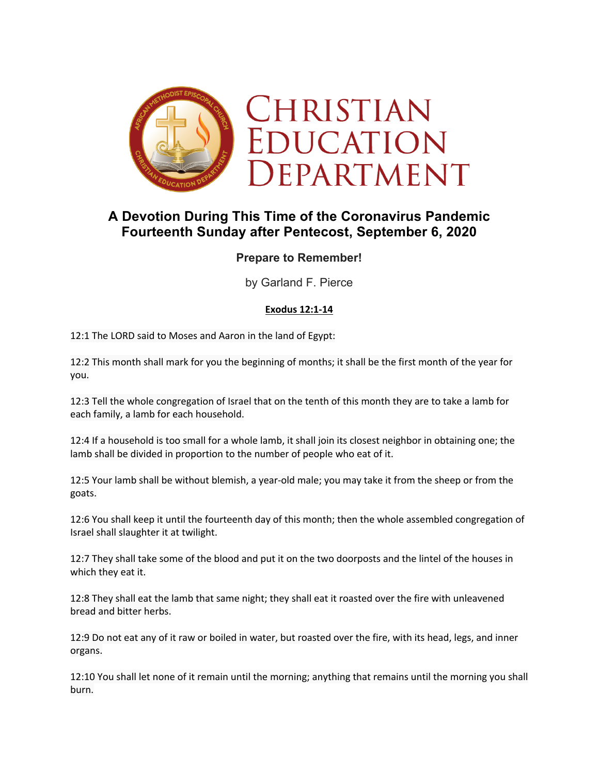

# **A Devotion During This Time of the Coronavirus Pandemic Fourteenth Sunday after Pentecost, September 6, 2020**

# **Prepare to Remember!**

by Garland F. Pierce

#### **Exodus 12:1-14**

12:1 The LORD said to Moses and Aaron in the land of Egypt:

12:2 This month shall mark for you the beginning of months; it shall be the first month of the year for you.

12:3 Tell the whole congregation of Israel that on the tenth of this month they are to take a lamb for each family, a lamb for each household.

12:4 If a household is too small for a whole lamb, it shall join its closest neighbor in obtaining one; the lamb shall be divided in proportion to the number of people who eat of it.

12:5 Your lamb shall be without blemish, a year-old male; you may take it from the sheep or from the goats.

12:6 You shall keep it until the fourteenth day of this month; then the whole assembled congregation of Israel shall slaughter it at twilight.

12:7 They shall take some of the blood and put it on the two doorposts and the lintel of the houses in which they eat it.

12:8 They shall eat the lamb that same night; they shall eat it roasted over the fire with unleavened bread and bitter herbs.

12:9 Do not eat any of it raw or boiled in water, but roasted over the fire, with its head, legs, and inner organs.

12:10 You shall let none of it remain until the morning; anything that remains until the morning you shall burn.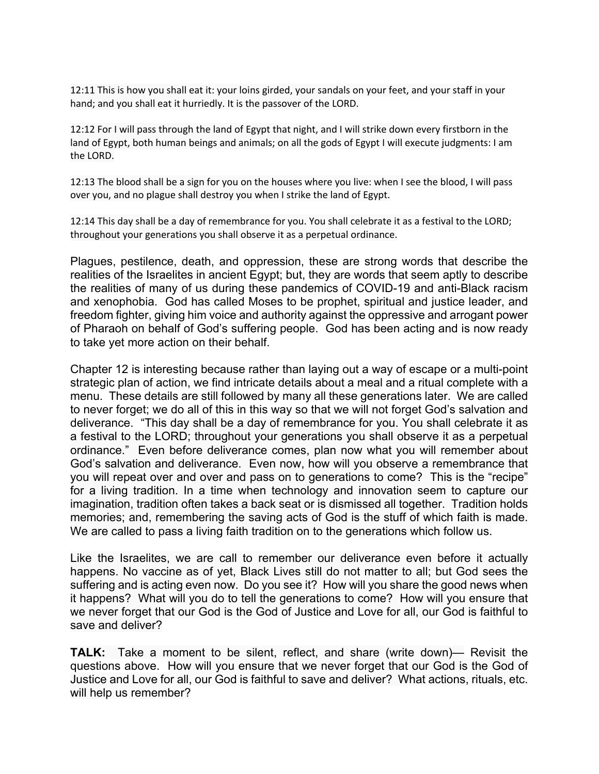12:11 This is how you shall eat it: your loins girded, your sandals on your feet, and your staff in your hand; and you shall eat it hurriedly. It is the passover of the LORD.

12:12 For I will pass through the land of Egypt that night, and I will strike down every firstborn in the land of Egypt, both human beings and animals; on all the gods of Egypt I will execute judgments: I am the LORD.

12:13 The blood shall be a sign for you on the houses where you live: when I see the blood, I will pass over you, and no plague shall destroy you when I strike the land of Egypt.

12:14 This day shall be a day of remembrance for you. You shall celebrate it as a festival to the LORD; throughout your generations you shall observe it as a perpetual ordinance.

Plagues, pestilence, death, and oppression, these are strong words that describe the realities of the Israelites in ancient Egypt; but, they are words that seem aptly to describe the realities of many of us during these pandemics of COVID-19 and anti-Black racism and xenophobia. God has called Moses to be prophet, spiritual and justice leader, and freedom fighter, giving him voice and authority against the oppressive and arrogant power of Pharaoh on behalf of God's suffering people. God has been acting and is now ready to take yet more action on their behalf.

Chapter 12 is interesting because rather than laying out a way of escape or a multi-point strategic plan of action, we find intricate details about a meal and a ritual complete with a menu. These details are still followed by many all these generations later. We are called to never forget; we do all of this in this way so that we will not forget God's salvation and deliverance. "This day shall be a day of remembrance for you. You shall celebrate it as a festival to the LORD; throughout your generations you shall observe it as a perpetual ordinance." Even before deliverance comes, plan now what you will remember about God's salvation and deliverance. Even now, how will you observe a remembrance that you will repeat over and over and pass on to generations to come? This is the "recipe" for a living tradition. In a time when technology and innovation seem to capture our imagination, tradition often takes a back seat or is dismissed all together. Tradition holds memories; and, remembering the saving acts of God is the stuff of which faith is made. We are called to pass a living faith tradition on to the generations which follow us.

Like the Israelites, we are call to remember our deliverance even before it actually happens. No vaccine as of yet, Black Lives still do not matter to all; but God sees the suffering and is acting even now. Do you see it? How will you share the good news when it happens? What will you do to tell the generations to come? How will you ensure that we never forget that our God is the God of Justice and Love for all, our God is faithful to save and deliver?

**TALK:** Take a moment to be silent, reflect, and share (write down)— Revisit the questions above. How will you ensure that we never forget that our God is the God of Justice and Love for all, our God is faithful to save and deliver? What actions, rituals, etc. will help us remember?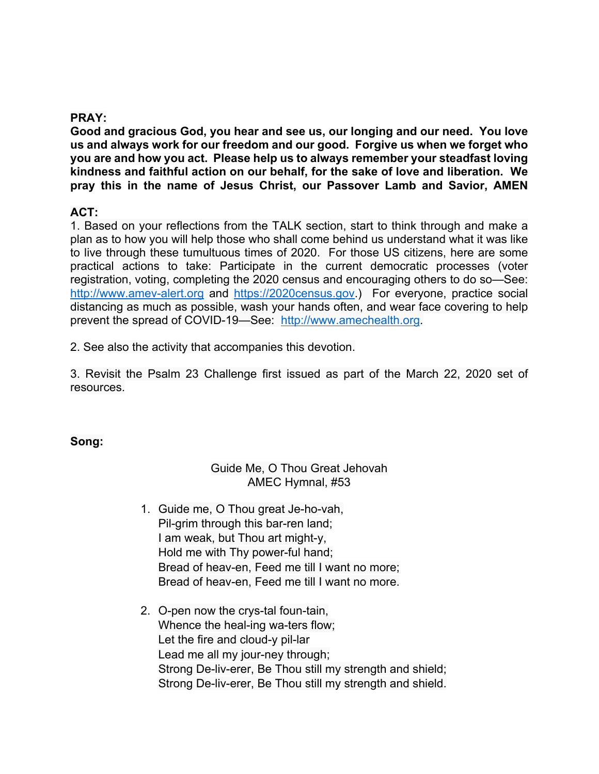### **PRAY:**

**Good and gracious God, you hear and see us, our longing and our need. You love us and always work for our freedom and our good. Forgive us when we forget who you are and how you act. Please help us to always remember your steadfast loving kindness and faithful action on our behalf, for the sake of love and liberation. We pray this in the name of Jesus Christ, our Passover Lamb and Savior, AMEN**

#### **ACT:**

1. Based on your reflections from the TALK section, start to think through and make a plan as to how you will help those who shall come behind us understand what it was like to live through these tumultuous times of 2020. For those US citizens, here are some practical actions to take: Participate in the current democratic processes (voter registration, voting, completing the 2020 census and encouraging others to do so—See: http://www.amev-alert.org and https://2020census.gov.) For everyone, practice social distancing as much as possible, wash your hands often, and wear face covering to help prevent the spread of COVID-19—See: http://www.amechealth.org.

2. See also the activity that accompanies this devotion.

3. Revisit the Psalm 23 Challenge first issued as part of the March 22, 2020 set of resources.

#### **Song:**

# Guide Me, O Thou Great Jehovah AMEC Hymnal, #53

- 1. Guide me, O Thou great Je-ho-vah, Pil-grim through this bar-ren land; I am weak, but Thou art might-y, Hold me with Thy power-ful hand; Bread of heav-en, Feed me till I want no more; Bread of heav-en, Feed me till I want no more.
- 2. O-pen now the crys-tal foun-tain, Whence the heal-ing wa-ters flow; Let the fire and cloud-y pil-lar Lead me all my jour-ney through; Strong De-liv-erer, Be Thou still my strength and shield; Strong De-liv-erer, Be Thou still my strength and shield.